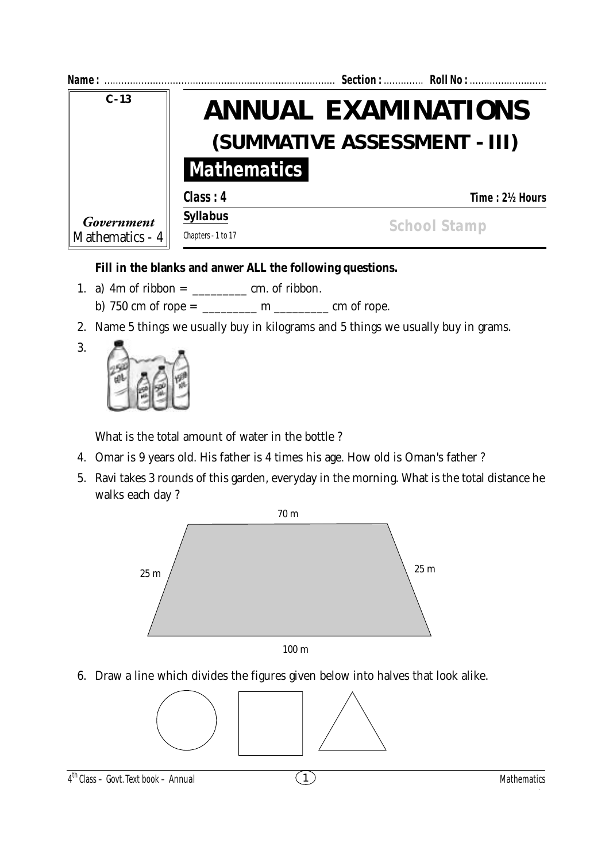| Name:                                     |                                                            |  | Section:  Roll No : |                    |
|-------------------------------------------|------------------------------------------------------------|--|---------------------|--------------------|
| $C - 13$<br>Government<br>Mathematics - 4 | <b>ANNUAL EXAMINATIONS</b><br>(SUMMATIVE ASSESSMENT - III) |  |                     |                    |
|                                           |                                                            |  |                     | <b>Mathematics</b> |
|                                           | Class: 4                                                   |  | Time: 2½ Hours      |                    |
|                                           | <b>Syllabus</b>                                            |  | <b>School Stamp</b> |                    |
|                                           | Chapters - 1 to 17                                         |  |                     |                    |

## **Fill in the blanks and anwer ALL the following questions.**

- 1. a) 4m of ribbon = \_\_\_\_\_\_\_\_\_ cm. of ribbon.
	- b) 750 cm of rope =  $\frac{m}{2}$  m  $\frac{m}{2}$  cm of rope.
- 2. Name 5 things we usually buy in kilograms and 5 things we usually buy in grams.



3.

What is the total amount of water in the bottle ?

- 4. Omar is 9 years old. His father is 4 times his age. How old is Oman's father ?
- 5. Ravi takes 3 rounds of this garden, everyday in the morning. What is the total distance he walks each day ?



6. Draw a line which divides the figures given below into halves that look alike.